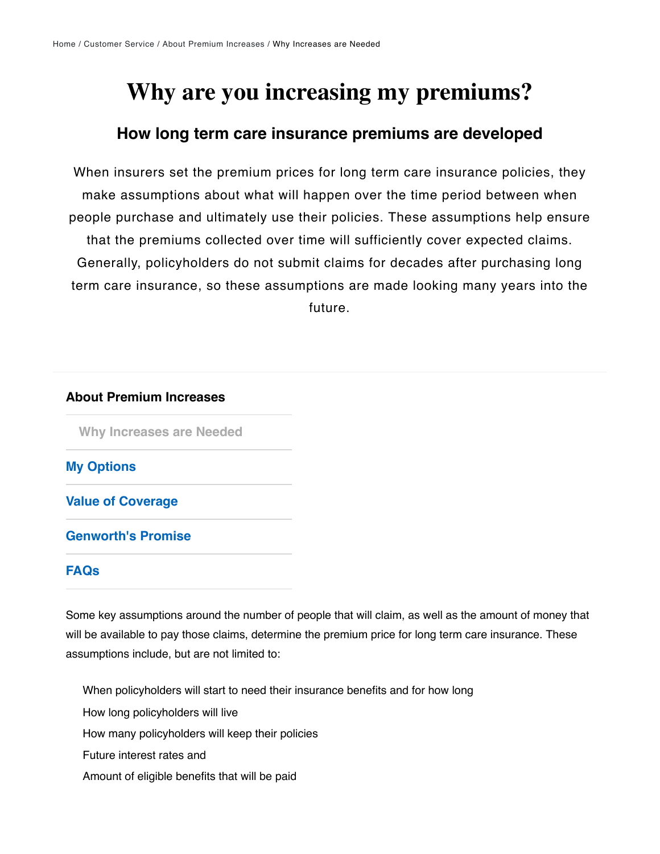# **Why are you increasing my premiums?**

### **How long term care insurance premiums are developed**

When insurers set the premium prices for long term care insurance policies, they make assumptions about what will happen over the time period between when people purchase and ultimately use their policies. These assumptions help ensure that the premiums collected over time will sufficiently cover expected claims. Generally, policyholders do not submit claims for decades after purchasing long term care insurance, so these assumptions are made looking many years into the future.

#### **About Premium Increases**

**[Why Increases are Needed](https://www.genworth.com/customer-service/ltc-premiums/why-increases-are-needed.html)**

**[My Options](https://www.genworth.com/customer-service/ltc-premiums/my-options.html)**

**[Value of Coverage](https://www.genworth.com/customer-service/ltc-premiums/value-of-coverage.html)**

**[Genworth's Promise](https://www.genworth.com/customer-service/ltc-premiums/genworth-promise.html)**

### **[FAQs](https://www.genworth.com/customer-service/ltc-premiums/faqs.html)**

Some key assumptions around the number of people that will claim, as well as the amount of money that will be available to pay those claims, determine the premium price for long term care insurance. These assumptions include, but are not limited to:

When policyholders will start to need their insurance benefits and for how long

How long policyholders will live

How many policyholders will keep their policies

Future interest rates and

Amount of eligible benefits that will be paid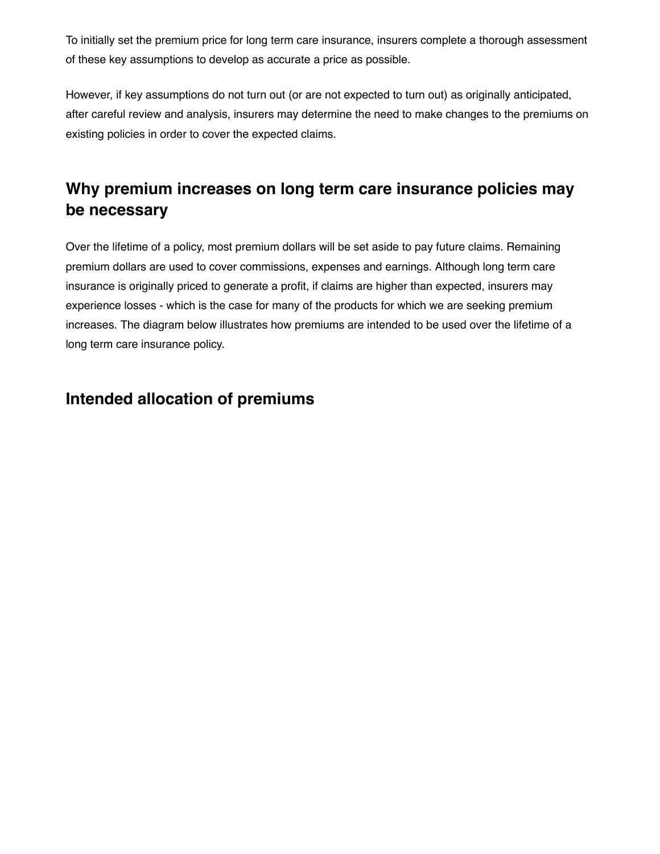To initially set the premium price for long term care insurance, insurers complete a thorough assessment of these key assumptions to develop as accurate a price as possible.

However, if key assumptions do not turn out (or are not expected to turn out) as originally anticipated, after careful review and analysis, insurers may determine the need to make changes to the premiums on existing policies in order to cover the expected claims.

# **Why premium increases on long term care insurance policies may be necessary**

Over the lifetime of a policy, most premium dollars will be set aside to pay future claims. Remaining premium dollars are used to cover commissions, expenses and earnings. Although long term care insurance is originally priced to generate a profit, if claims are higher than expected, insurers may experience losses - which is the case for many of the products for which we are seeking premium increases. The diagram below illustrates how premiums are intended to be used over the lifetime of a long term care insurance policy.

## **Intended allocation of premiums**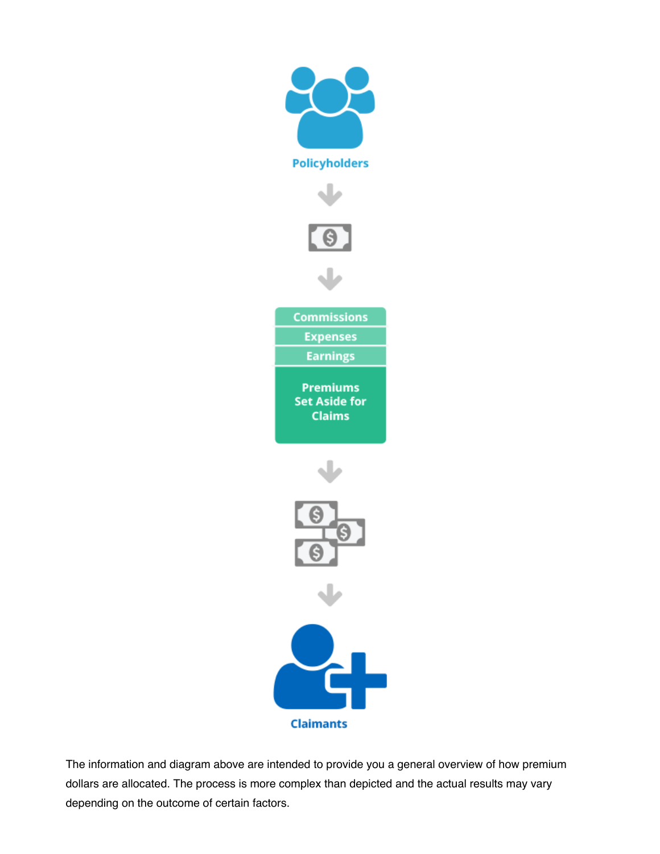

The information and diagram above are intended to provide you a general overview of how premium dollars are allocated. The process is more complex than depicted and the actual results may vary depending on the outcome of certain factors.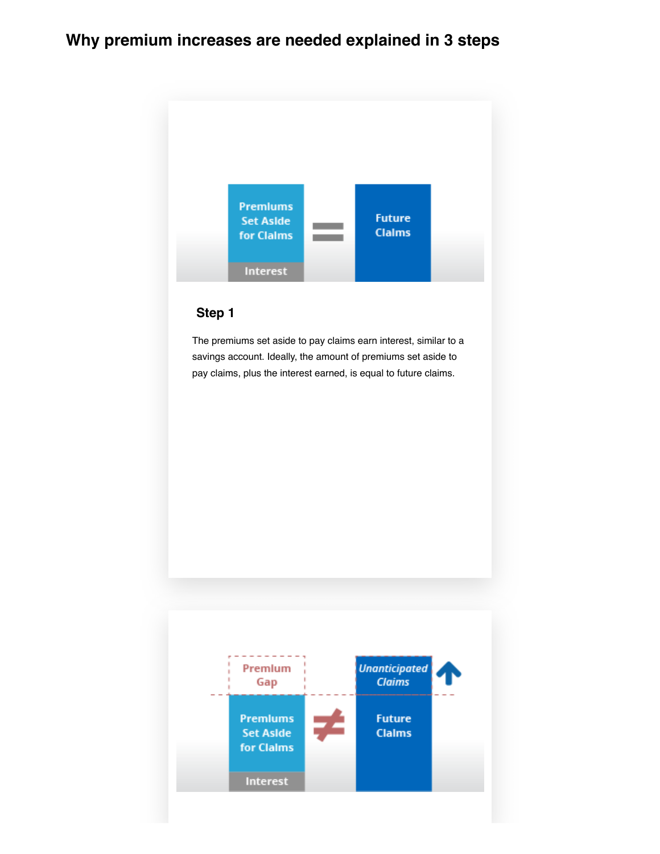# **Why premium increases are needed explained in 3 steps**



### **Step 1**

The premiums set aside to pay claims earn interest, similar to a savings account. Ideally, the amount of premiums set aside to pay claims, plus the interest earned, is equal to future claims.

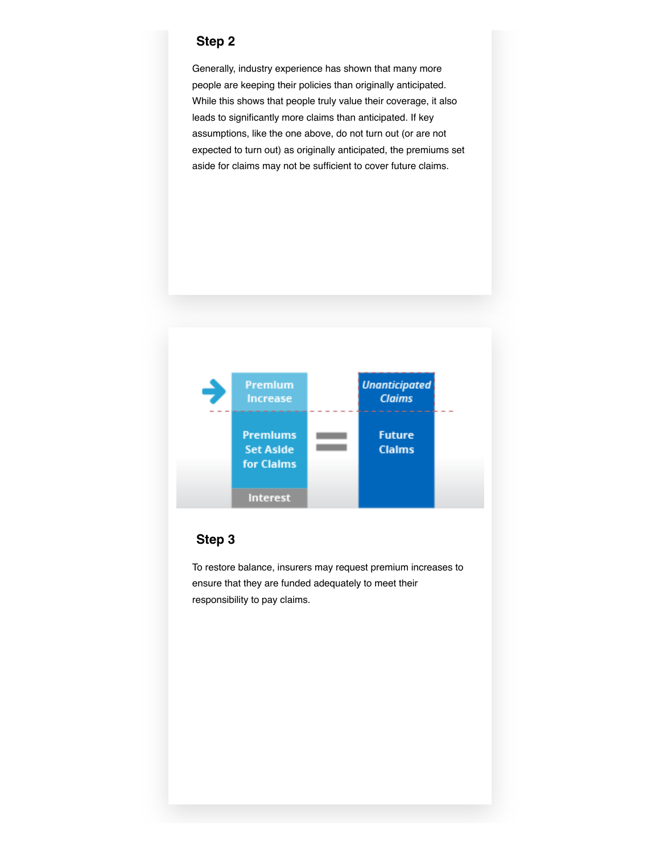#### **Step 2**

Generally, industry experience has shown that many more people are keeping their policies than originally anticipated. While this shows that people truly value their coverage, it also leads to significantly more claims than anticipated. If key assumptions, like the one above, do not turn out (or are not expected to turn out) as originally anticipated, the premiums set aside for claims may not be sufficient to cover future claims.



### **Step 3**

To restore balance, insurers may request premium increases to ensure that they are funded adequately to meet their responsibility to pay claims.